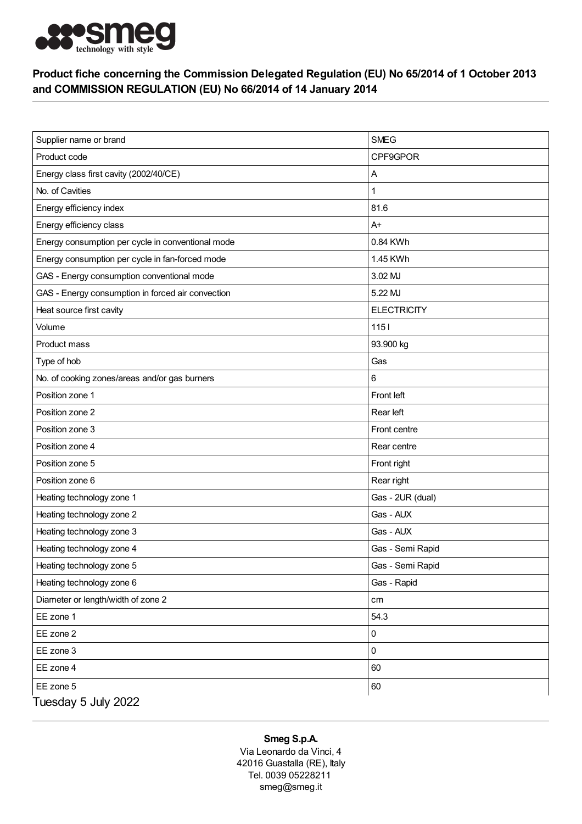

## Product fiche concerning the Commission Delegated Regulation (EU) No 65/2014 of 1 October 2013 and COMMISSION REGULATION (EU) No 66/2014 of 14 January 2014

| Supplier name or brand                            | <b>SMEG</b>        |
|---------------------------------------------------|--------------------|
| Product code                                      | CPF9GPOR           |
| Energy class first cavity (2002/40/CE)            | Α                  |
| No. of Cavities                                   | 1                  |
| Energy efficiency index                           | 81.6               |
| Energy efficiency class                           | $A+$               |
| Energy consumption per cycle in conventional mode | 0.84 KWh           |
| Energy consumption per cycle in fan-forced mode   | 1.45 KWh           |
| GAS - Energy consumption conventional mode        | 3.02 MJ            |
| GAS - Energy consumption in forced air convection | 5.22 MJ            |
| Heat source first cavity                          | <b>ELECTRICITY</b> |
| Volume                                            | 1151               |
| Product mass                                      | 93.900 kg          |
| Type of hob                                       | Gas                |
| No. of cooking zones/areas and/or gas burners     | 6                  |
| Position zone 1                                   | Front left         |
| Position zone 2                                   | Rear left          |
| Position zone 3                                   | Front centre       |
| Position zone 4                                   | Rear centre        |
| Position zone 5                                   | Front right        |
| Position zone 6                                   | Rear right         |
| Heating technology zone 1                         | Gas - 2UR (dual)   |
| Heating technology zone 2                         | Gas - AUX          |
| Heating technology zone 3                         | Gas - AUX          |
| Heating technology zone 4                         | Gas - Semi Rapid   |
| Heating technology zone 5                         | Gas - Semi Rapid   |
| Heating technology zone 6                         | Gas - Rapid        |
| Diameter or length/width of zone 2                | cm                 |
| EE zone 1                                         | 54.3               |
| EE zone 2                                         | 0                  |
| EE zone 3                                         | 0                  |
| EE zone 4                                         | 60                 |
| EE zone 5                                         | 60                 |
| Tuesday 5 July 2022                               |                    |

## Smeg S.p.A.

Via Leonardo da Vinci, 4 42016 Guastalla (RE), Italy Tel. 0039 05228211 smeg@smeg.it